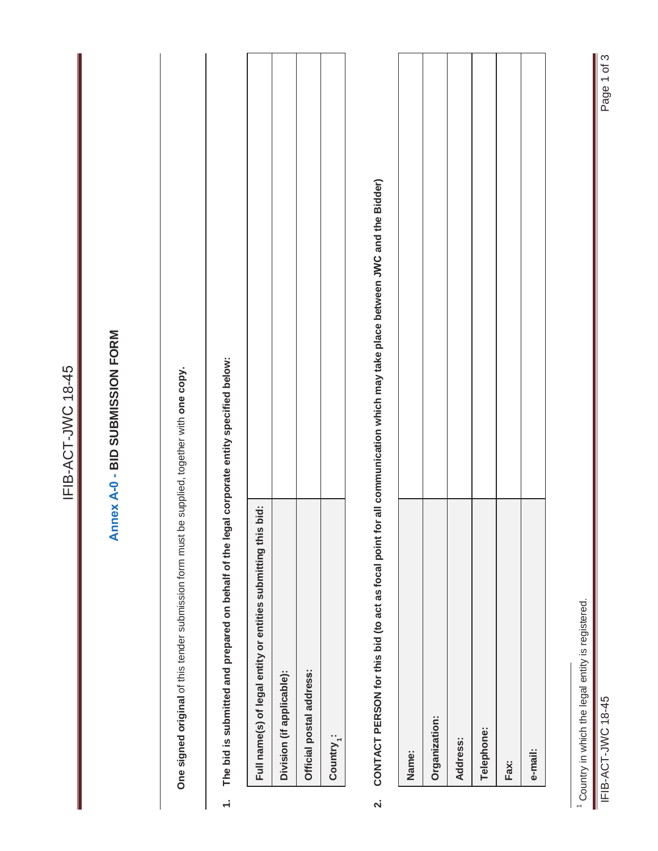|                         |                                                                                              | IFIB-ACT-JWC 18-45                                                                                                        |
|-------------------------|----------------------------------------------------------------------------------------------|---------------------------------------------------------------------------------------------------------------------------|
|                         |                                                                                              | Annex A-0 - BID SUBMISSION FORM                                                                                           |
|                         | One signed original of this tender submission form must be supplied, together with one copy. |                                                                                                                           |
| $\div$                  | The bid is submitted and prepared on behalf of the legal corporate entity specified below:   |                                                                                                                           |
|                         | Full name(s) of legal entity or entities submitting this bid:                                |                                                                                                                           |
|                         | Division (if applicable):                                                                    |                                                                                                                           |
|                         | Official postal address:                                                                     |                                                                                                                           |
|                         | Country <sub>1</sub> :                                                                       |                                                                                                                           |
| $\overline{\mathbf{v}}$ |                                                                                              | CONTACT PERSON for this bid (to act as focal point for all communication which may take place between JWC and the Bidder) |
|                         | Name:                                                                                        |                                                                                                                           |
|                         | Organization:                                                                                |                                                                                                                           |
|                         | Address:                                                                                     |                                                                                                                           |
|                         | Telephone:                                                                                   |                                                                                                                           |
|                         | Fax:                                                                                         |                                                                                                                           |
|                         | e-mail:                                                                                      |                                                                                                                           |
|                         | <sup>1</sup> Country in which the legal entity is registered.                                |                                                                                                                           |
|                         | IFIB-ACT-JWC 18-45                                                                           | Page 1 of 3                                                                                                               |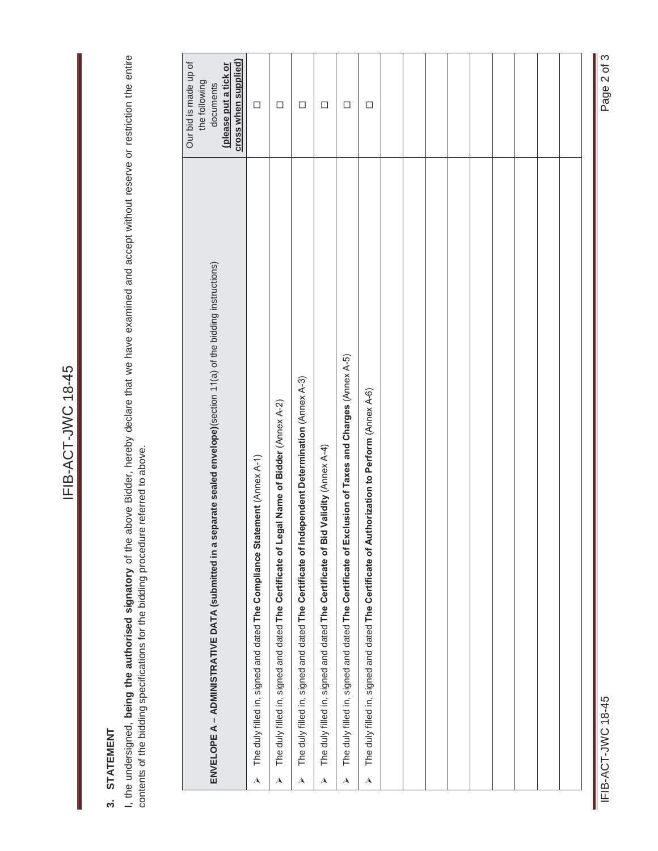# 3. STATEMENT **3. STATEMENT**

I, the undersigned, being the authorised signatory of the above Bidder, hereby declare that we have examined and accept without reserve or restriction the entire<br>contents of the bidding specifications for the bidding proce I, the undersigned, **being the authorised signatory** of the above Bidder, hereby declare that we have examined and accept without reserve or restriction the entire contents of the bidding specifications for the bidding procedure referred to above.

|                           | ENVELOPE A - ADMINISTRATIVE DATA (submitted in a separate sealed envelope)(section 11(a) of the bidding instructions) | cross when supplied)<br>Our bid is made up of<br>(please put a tick or<br>the following<br>documents |  |
|---------------------------|-----------------------------------------------------------------------------------------------------------------------|------------------------------------------------------------------------------------------------------|--|
| $\boldsymbol{\mathsf{A}}$ | ement (Annex A-1)<br>The duly filled in, signed and dated The Compliance Stat                                         | $\Box$                                                                                               |  |
| $\overline{\mathbf{A}}$   | The duly filled in, signed and dated The Certificate of Legal Name of Bidder (Annex A-2)                              | $\Box$                                                                                               |  |
| $\overline{\mathbf{A}}$   | The duly filled in, signed and dated The Certificate of Independent Determination (Annex A-3)                         | $\Box$                                                                                               |  |
| $\overline{\mathbf{A}}$   | The duly filled in, signed and dated The Certificate of Bid Validity (Annex A-4)                                      | $\Box$                                                                                               |  |
| $\overline{\mathbf{A}}$   | The duly filled in, signed and dated The Certificate of Exclusion of Taxes and Charges (Annex A-5)                    | $\Box$                                                                                               |  |
| $\overline{\mathbf{A}}$   | The duly filled in, signed and dated The Certificate of Authorization to Perform (Annex A-6)                          | $\Box$                                                                                               |  |
|                           |                                                                                                                       |                                                                                                      |  |
|                           |                                                                                                                       |                                                                                                      |  |
|                           |                                                                                                                       |                                                                                                      |  |
|                           |                                                                                                                       |                                                                                                      |  |
|                           |                                                                                                                       |                                                                                                      |  |
|                           |                                                                                                                       |                                                                                                      |  |
|                           |                                                                                                                       |                                                                                                      |  |
|                           |                                                                                                                       |                                                                                                      |  |
|                           |                                                                                                                       |                                                                                                      |  |

Page 2 of 3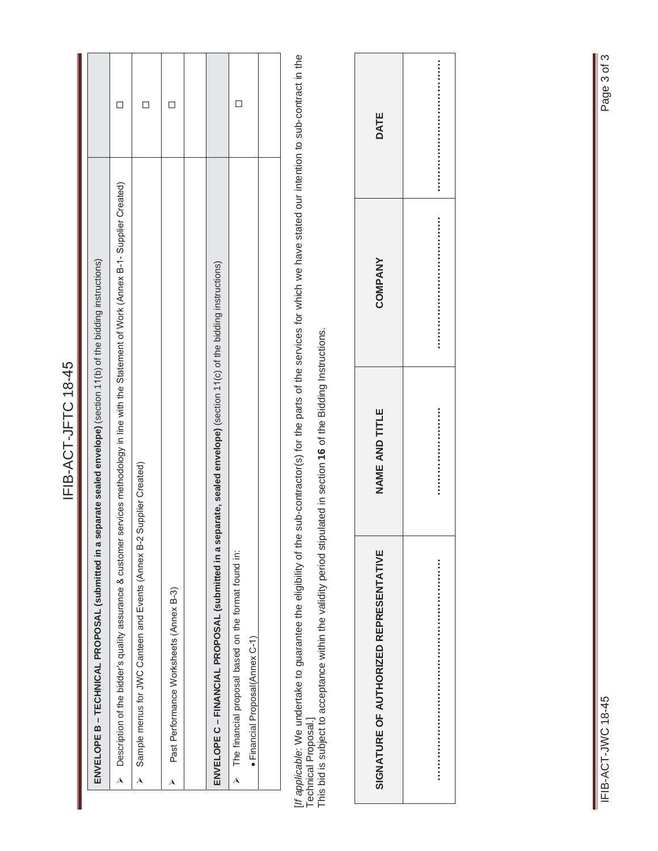| $\overline{a}$<br>٦<br>$\alpha$ |  |
|---------------------------------|--|
|                                 |  |
|                                 |  |
|                                 |  |
|                                 |  |
|                                 |  |
|                                 |  |
|                                 |  |
|                                 |  |

| ENVELOPE B – TECHNICAL PROPOSAL (submitted in a separate sealed envelope) (section 11(b) of the bidding instructions)                           |  |
|-------------------------------------------------------------------------------------------------------------------------------------------------|--|
| > Description of the bidder's quality assurance & customer services methodology in line with the Statement of Work (Annex B-1-Supplier Created) |  |
| Sample menus for JWC Canteen and Events (Annex B-2 Supplier Created)<br>$\mathbf{\lambda}$                                                      |  |
| Past Performance Worksheets (Annex B-3)<br>$\triangle$                                                                                          |  |
|                                                                                                                                                 |  |
| ENVELOPE C – FINANCIAL PROPOSAL (submitted in a separate, sealed envelope) (section 11(c) of the bidding instructions)                          |  |
| The financial proposal based on the format found in:<br>· Financial Proposal(Annex C-1)<br>$\lambda$                                            |  |
|                                                                                                                                                 |  |
|                                                                                                                                                 |  |

[/f applicable: We undertake to guarantee the eligibility of the sub-contractor(s) for the parts of the services for which we have stated our intention to sub-contract in the<br>Technical Proposal.]<br>This bid is subject to acc [*If applicable*: We undertake to guarantee the eligibility of the sub-contractor(s) for the parts of the services for which we have stated our intention to sub-contract in the Technical Proposal.]

This bid is subject to acceptance within the validity period stipulated in section **16** of the Bidding Instructions.

| SIGNATURE OF AUTHORIZED REPRESENTATIVE | NAME AND TITLE | <b>COMPANY</b> | DATE |
|----------------------------------------|----------------|----------------|------|
|                                        |                |                |      |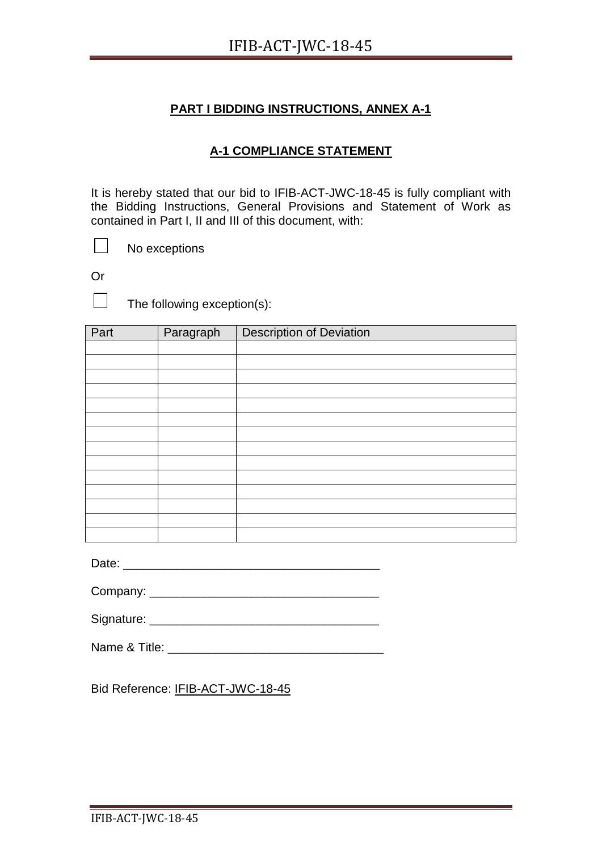# **A-1 COMPLIANCE STATEMENT**

It is hereby stated that our bid to IFIB-ACT-JWC-18-45 is fully compliant with the Bidding Instructions, General Provisions and Statement of Work as contained in Part I, II and III of this document, with:

No exceptions

Or

 $\Box$ 

 $\mathbb{R}^n$ 

The following exception(s):

| Part | Paragraph | <b>Description of Deviation</b> |
|------|-----------|---------------------------------|
|      |           |                                 |
|      |           |                                 |
|      |           |                                 |
|      |           |                                 |
|      |           |                                 |
|      |           |                                 |
|      |           |                                 |
|      |           |                                 |
|      |           |                                 |
|      |           |                                 |
|      |           |                                 |
|      |           |                                 |
|      |           |                                 |
|      |           |                                 |

Date: \_\_\_\_\_\_\_\_\_\_\_\_\_\_\_\_\_\_\_\_\_\_\_\_\_\_\_\_\_\_\_\_\_\_\_\_\_\_

| Name & Title: |  |
|---------------|--|
|               |  |

Bid Reference: IFIB-ACT-JWC-18-45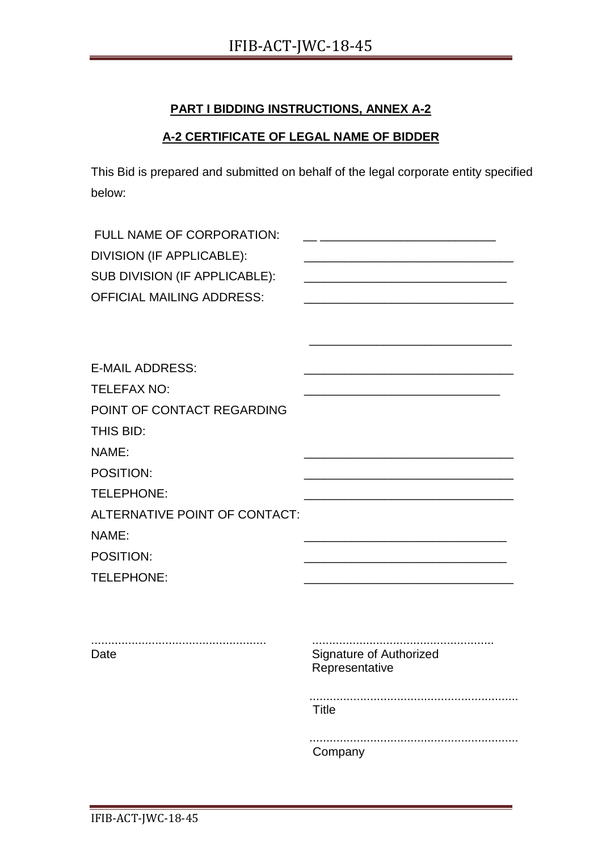# **A-2 CERTIFICATE OF LEGAL NAME OF BIDDER**

This Bid is prepared and submitted on behalf of the legal corporate entity specified below:

| FULL NAME OF CORPORATION:<br>DIVISION (IF APPLICABLE):<br>SUB DIVISION (IF APPLICABLE):<br><b>OFFICIAL MAILING ADDRESS:</b> | <u> 1989 - Johann John Stone, mars et al. (1989)</u> |
|-----------------------------------------------------------------------------------------------------------------------------|------------------------------------------------------|
| <b>E-MAIL ADDRESS:</b>                                                                                                      |                                                      |
| <b>TELEFAX NO:</b>                                                                                                          |                                                      |
| POINT OF CONTACT REGARDING                                                                                                  |                                                      |
| THIS BID:                                                                                                                   |                                                      |
| NAME:                                                                                                                       |                                                      |
| POSITION:                                                                                                                   |                                                      |
| TELEPHONE:                                                                                                                  |                                                      |
| ALTERNATIVE POINT OF CONTACT:                                                                                               |                                                      |
| NAME:                                                                                                                       |                                                      |
| POSITION:                                                                                                                   |                                                      |
| TELEPHONE:                                                                                                                  |                                                      |
|                                                                                                                             |                                                      |
| Date                                                                                                                        | Signature of Authorized<br>Representative            |
|                                                                                                                             | <b>Title</b>                                         |
|                                                                                                                             | Company                                              |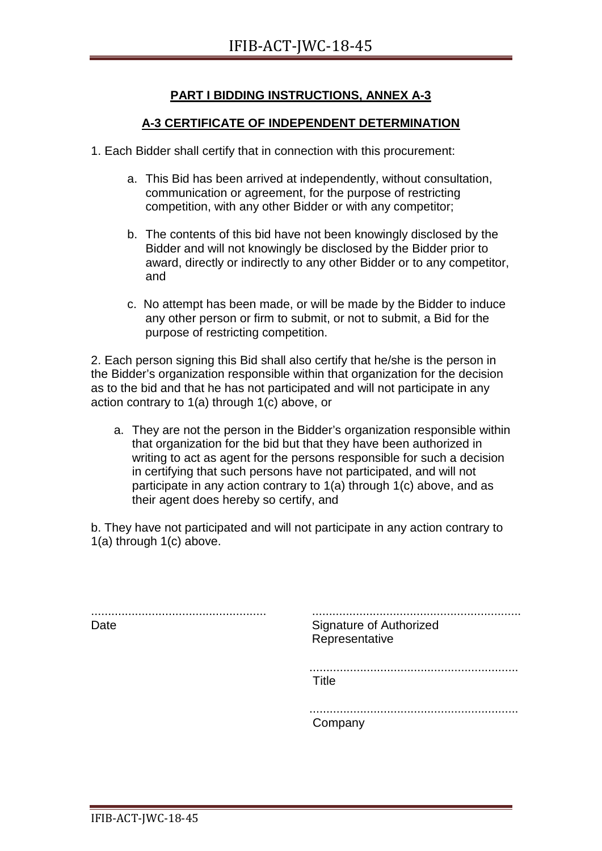### **A-3 CERTIFICATE OF INDEPENDENT DETERMINATION**

- 1. Each Bidder shall certify that in connection with this procurement:
	- a. This Bid has been arrived at independently, without consultation, communication or agreement, for the purpose of restricting competition, with any other Bidder or with any competitor;
	- b. The contents of this bid have not been knowingly disclosed by the Bidder and will not knowingly be disclosed by the Bidder prior to award, directly or indirectly to any other Bidder or to any competitor, and
	- c. No attempt has been made, or will be made by the Bidder to induce any other person or firm to submit, or not to submit, a Bid for the purpose of restricting competition.

2. Each person signing this Bid shall also certify that he/she is the person in the Bidder's organization responsible within that organization for the decision as to the bid and that he has not participated and will not participate in any action contrary to 1(a) through 1(c) above, or

a. They are not the person in the Bidder's organization responsible within that organization for the bid but that they have been authorized in writing to act as agent for the persons responsible for such a decision in certifying that such persons have not participated, and will not participate in any action contrary to 1(a) through 1(c) above, and as their agent does hereby so certify, and

b. They have not participated and will not participate in any action contrary to 1(a) through 1(c) above.

.................................................... Date .............................................................. Signature of Authorized Representative .............................................................. Title .............................................................. Company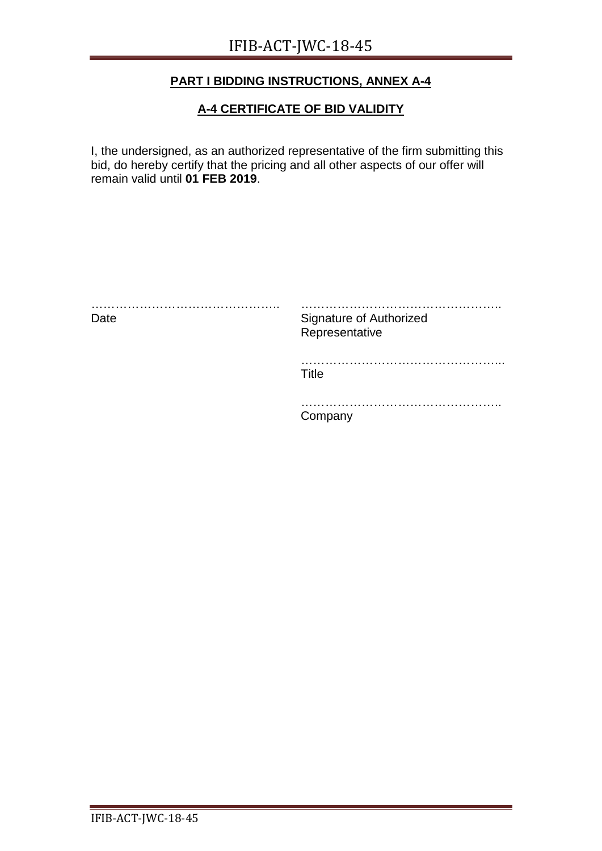# **A-4 CERTIFICATE OF BID VALIDITY**

I, the undersigned, as an authorized representative of the firm submitting this bid, do hereby certify that the pricing and all other aspects of our offer will remain valid until **01 FEB 2019**.

| .<br>Date | Signature of Authorized<br>Representative |
|-----------|-------------------------------------------|
|           | Title                                     |
|           | Company                                   |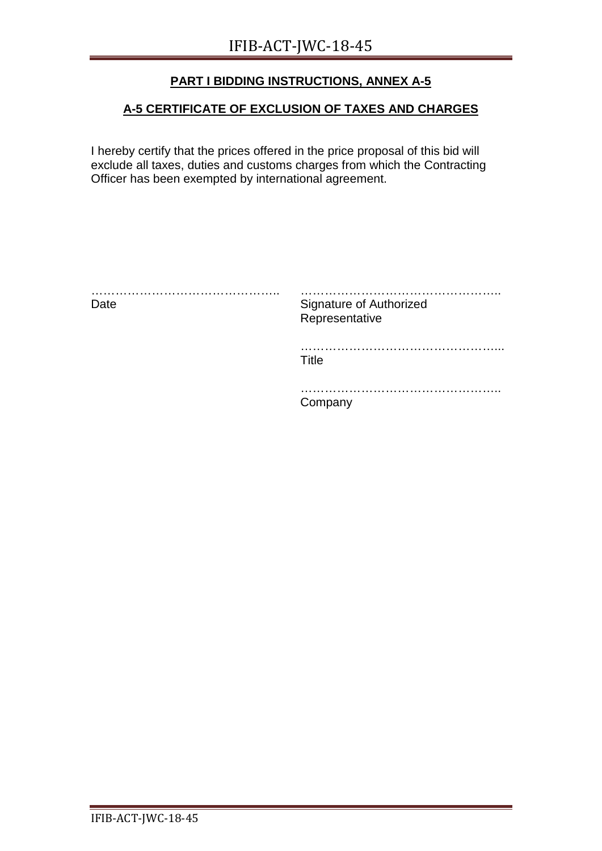# **A-5 CERTIFICATE OF EXCLUSION OF TAXES AND CHARGES**

I hereby certify that the prices offered in the price proposal of this bid will exclude all taxes, duties and customs charges from which the Contracting Officer has been exempted by international agreement.

| .<br>Date | Signature of Authorized<br>Representative |
|-----------|-------------------------------------------|
|           | Title                                     |
|           | Company                                   |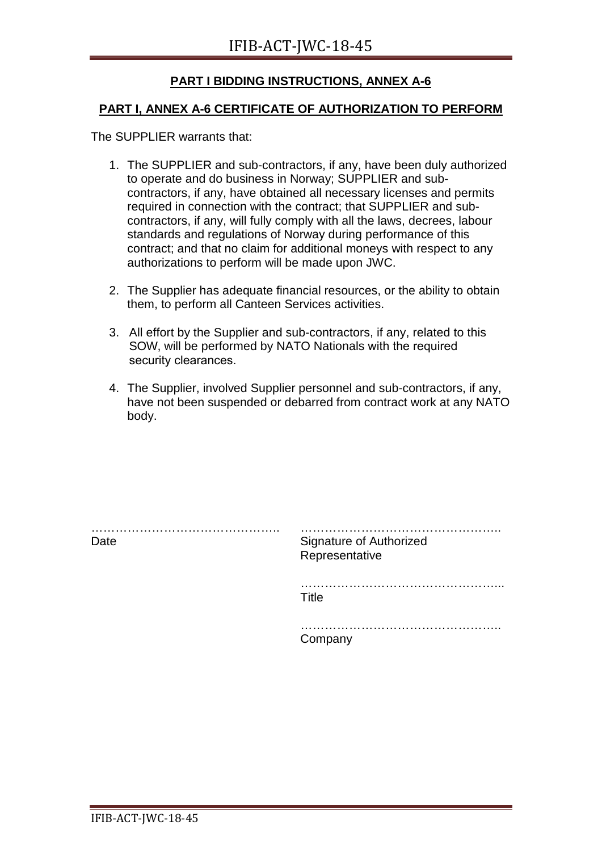#### **PART I, ANNEX A-6 CERTIFICATE OF AUTHORIZATION TO PERFORM**

The SUPPLIER warrants that:

- 1. The SUPPLIER and sub-contractors, if any, have been duly authorized to operate and do business in Norway; SUPPLIER and subcontractors, if any, have obtained all necessary licenses and permits required in connection with the contract; that SUPPLIER and subcontractors, if any, will fully comply with all the laws, decrees, labour standards and regulations of Norway during performance of this contract; and that no claim for additional moneys with respect to any authorizations to perform will be made upon JWC.
- 2. The Supplier has adequate financial resources, or the ability to obtain them, to perform all Canteen Services activities.
- 3. All effort by the Supplier and sub-contractors, if any, related to this SOW, will be performed by NATO Nationals with the required security clearances.
- 4. The Supplier, involved Supplier personnel and sub-contractors, if any, have not been suspended or debarred from contract work at any NATO body.

| .<br>Date | <b>Signature of Authorized</b><br>Representative |
|-----------|--------------------------------------------------|
|           | Title                                            |
|           | .<br>Company                                     |
|           |                                                  |